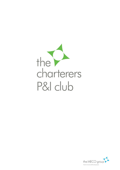

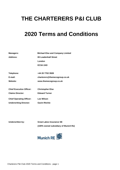# **THE CHARTERERS P&I CLUB**

# **2020 Terms and Conditions**

| <b>Managers:</b>                | <b>Michael Else and Company Limited</b> |
|---------------------------------|-----------------------------------------|
| Address:                        | <b>65 Leadenhall Street</b>             |
|                                 | London                                  |
|                                 | EC3A 2AD                                |
|                                 |                                         |
| Telephone:                      | +44 20 7702 3928                        |
| E-mail:                         | charterers@themecogroup.co.uk           |
| Website:                        | www.themecogroup.co.uk                  |
| <b>Chief Executive Officer:</b> | <b>Christopher Else</b>                 |
| <b>Claims Director:</b>         | <b>Edward Turner</b>                    |
| <b>Chief Operating Officer:</b> | <b>Lee Wilson</b>                       |
| <b>Underwriting Director:</b>   | <b>Gavin Ritchie</b>                    |

**Underwritten by: Great Lakes Insurance SE (100% owned subsidiary of Munich Re)**

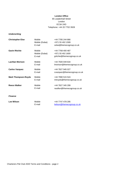## **London Office**

# 65 Leadenhall Street London EC3A 2AD Telephone: +44 20 7702 3928

# *Underwriting*

| <b>Christopher Else</b>    | Mobile<br>Mobile (Dubai)<br>E-mail | +44 7785 244 866<br>+971 55 402 1599<br>celse@themecogroup.co.uk    |
|----------------------------|------------------------------------|---------------------------------------------------------------------|
| <b>Gavin Ritchie</b>       | Mobile<br>Mobile (Dubai)<br>E-mail | +44 7768 400 487<br>+971 55 402 1600<br>gritchie@themecogroup.co.uk |
| <b>Lachlan Morison</b>     | Mobile<br>E-mail                   | +44 7500 049 634<br>Imorison@themecogroup.co.uk                     |
| <b>Carlos Vazquez</b>      | Mobile<br>E-mail                   | +44 7827 945 027<br>cvazquez@themecogroup.co.uk                     |
| <b>Mark Thompson-Royds</b> | Mobile<br>E-mail                   | +44 7990 515 524<br>mtroyds@themecogroup.co.uk                      |
| <b>Reece Walker</b>        | Mobile<br>E-mail                   | +44 7827 345 299<br>rwalker@themecogroup.co.uk                      |

#### *Finance*

| <b>Lee Wilson</b> | Mobile | +44 7747 478 295           |
|-------------------|--------|----------------------------|
|                   | E-mail | lwilson@themecogroup.co.uk |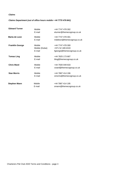# *Claims*

# *Claims Department (out of office hours mobile + 44 7770 476 841)*

| <b>Edward Turner</b>   | Mobile<br>E-mail                   | +44 7747 478 302<br>eturner@themecogroup.co.uk                     |
|------------------------|------------------------------------|--------------------------------------------------------------------|
| Marta de Leon          | Mobile<br>E-mail                   | +44 7747 478 301<br>mdeleon@themecogroup.co.uk                     |
| <b>Franklin George</b> | Mobile<br>Mobile (Dubai)<br>E-mail | +44 7747 478 300<br>+971 52 189 4319<br>fgeorge@themecogroup.co.uk |
| <b>Tomas Ling</b>      | Mobile<br>E-mail                   | +44 7825 173 687<br>tling@themecogroup.co.uk                       |
| <b>Chris Ward</b>      | Mobile<br>E-mail                   | +44 7500 049 633<br>cward@themecogroup.co.uk                       |
| <b>Sian Morris</b>     | Mobile<br>E-mail                   | +44 7887 414 196<br>smorris@themecogroup.co.uk                     |
| <b>Stephen Mann</b>    | Mobile<br>E-mail                   | +44 7887 414 195<br>smann@themecogroup.co.uk                       |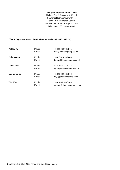# **Shanghai Representative Office**

Michael Else & Company (HK) Ltd Shanghai Representative Office Room 1201, Enterprise Square 228 Mei Yuan Road, Shanghai, China Telephone: +86 21 6381 0099

# *Claims Department (out of office hours mobile +86 1862 103 7591)*

| <b>Ashley Xu</b>   | Mobile<br>E-mail | +86 186 2103 7261<br>axu@themecogroup.co.uk   |
|--------------------|------------------|-----------------------------------------------|
| <b>Baiqiu Guan</b> | Mobile<br>E-mail | +86 156 1899 0446<br>bguan@themecogroup.co.uk |
| Danni Gao          | Mobile<br>E-mail | +86 156 9211 6123<br>dgao@themecogroup.co.uk  |
| Mengzhen Yu        | Mobile<br>E-mail | +86 186 2168 7300<br>myu@themecogroup.co.uk   |
| Wei Wang           | Mobile<br>E-mail | +86 186 2168 5300<br>wwang@themecogroup.co.uk |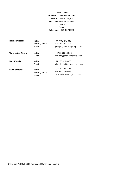# **Dubai Office**

# **The MECO Group (DIFC) Ltd** Office 101, Gate Village 3 Dubai International Finance **Centre** Dubai Telephone: +971 4 5706956

| <b>Franklin George</b> | Mobile<br>Mobile (Dubai)<br>E-mail | +44 7747 478 300<br>+971 52 189 4319<br>fgeorge@themecogroup.co.uk |
|------------------------|------------------------------------|--------------------------------------------------------------------|
| Maria Luisa Rivera     | Mobile<br>E-mail                   | +971 58 281 7903<br>mrivera@themecogroup.co.uk                     |
| <b>Mark Kmelisch</b>   | Mobile<br>E-mail                   | +971 55 429 6050<br>mkmelisch@themecogroup.co.uk                   |
| <b>Kavinit Uberoi</b>  | Mobile<br>Mobile (Dubai)<br>E-mail | +971 52 733 4586<br>+91 99 8778 0894<br>kuberoi@themecogroup.co.uk |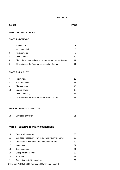# **CONTENTS**

# **CLAUSE PAGE**

# **PART I - SCOPE OF COVER**

# **CLASS 1 – DEFENCE**

| $\mathbf{1}$ . | Preliminary                                                |    |
|----------------|------------------------------------------------------------|----|
| 2.             | Maximum Limit                                              | 8  |
| 3.             | Risks covered                                              | 8  |
| 4.             | Claims handling                                            | 10 |
| 5.             | Right of the Underwriters to recover costs from an Assured | 11 |
| 6.             | Obligations of the Assured in respect of Claims            | 11 |

# **CLASS 2 – LIABILITY**

| 7.  | Preliminary                                     | 13 |
|-----|-------------------------------------------------|----|
| 8.  | Maximum Limit                                   | 13 |
| 9.  | Risks covered                                   | 13 |
| 10. | Special cover                                   | 18 |
| 11. | Claims handling                                 | 18 |
| 12. | Obligations of the Assured in respect of Claims | 19 |

# **PART II – LIMITATION OF COVER**

| 13.<br>Limitation of Cover |  |
|----------------------------|--|
|----------------------------|--|

# **PART III – GENERAL TERMS AND CONDITIONS**

| 14. | Duty of fair presentation                            | 30 |
|-----|------------------------------------------------------|----|
| 15. | Condition Precedent - Pay to be Paid Indemnity Cover | 30 |
| 16. | Certificate of Insurance and endorsement slip        | 30 |
| 17. | Variations                                           | 31 |
| 18. | Joint Insurance                                      | 31 |
| 19. | Group Affiliate Cover                                | 32 |
| 20. | Time Bar                                             | 32 |
| 21. | Amounts due to Underwriters                          | 32 |

Charterers P&I Club 2020 Terms and Conditions - page 6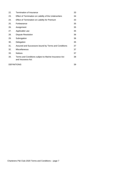| 22.                | Termination of Insurance                                                  | 33 |
|--------------------|---------------------------------------------------------------------------|----|
| 23.                | Effect of Termination on Liability of the Underwriters                    | 34 |
| 24.                | Effect of Termination on Liability for Premium                            | 33 |
| 25.                | Forbearance                                                               | 35 |
| 26.                | Assignment                                                                | 35 |
| 27.                | Applicable Law                                                            | 35 |
| 28.                | <b>Dispute Resolution</b>                                                 | 36 |
| 29.                | Subrogation                                                               | 36 |
| 30.                | Delegation                                                                | 35 |
| 31.                | Assured and Successors bound by Terms and Conditions                      | 37 |
| 32.                | Miscellaneous                                                             | 37 |
| 33.                | <b>Notices</b>                                                            | 37 |
| 34.                | Terms and Conditions subject to Marine Insurance Act<br>and Insurance Act | 38 |
| <b>DEFINITIONS</b> |                                                                           | 39 |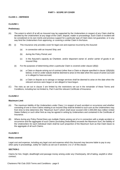## **CLASS 1 – DEFENCE**

#### **CLAUSE 1**

#### **Preliminary**

- (A) The extent to which (if at all) an Assured may be supported by the Underwriters in respect of any Claim shall be decided by the Underwriters at any stage of the Claim, dispute, matter or proceedings. Each Claim or incident will be considered on its own merits and previous support for a particular type of Claim does not guarantee, or in any way bind the Underwriters from approving, or covering a similar Claim in the future.
- (B) (i) This Insurance only provides cover for legal cost and expense incurred by the Assured:
	- (a) in connection with an Insured Ship; and
	- (b) during the Policy Period; and
	- (c) in the Assured's capacity as Charterer, and/or disponent owner of, and/or carrier of goods in an Insured Ship.
	- (ii) For the purposes of determining when a particular Claim is covered under clause 1(B)(i):
		- (a) a Claim or dispute arising out of contract (other than a Claim or dispute specified in clause 1(B)(ii)(b) below), in tort or under statute shall be deemed to arise on the date when the cause of action accrued or is alleged to have accrued;
		- (b) a Claim or dispute as to salvage or towage services shall be deemed to arise on the date when the relevant services were begun or are alleged to have begun.
- (C) The risks as set out in clause 3 are limited by the restrictions set out in the remainder of these Terms and Conditions, including but not limited to, Part II and the relevant Certificate of Insurance.

## **CLAUSE 2**

#### **Maximum Limit**

- (A) The maximum liability of the Underwriters under Class 1 in respect of each accident or occurrence and whether consisting of one or more Claims relating to an Insured Ship shall be limited to such sum as the Underwriters may from time to time determine (the "Maximum Sum") which shall never exceed USD 2,000,000 (two million United States Dollars) or such other limit as may be agreed in writing by Underwriters and contained in the Certificate of Insurance.
- (B) Where during any Policy Period there are multiple Claims arising out of or in connection with a single accident or occurrence and the aggregate of such Claims (excluding Deductibles) exceeds the Maximum Sum, the liability of the Underwriters for each individual Claim shall be such proportion of the Maximum Sum as that Claim bears to the aggregate of all such Claims.

## **CLAUSE 3**

#### **Risks covered**

Legal cost and expense, including any legal cost and expense which the Assured may become liable to pay to any other party in proceedings, solely for Claims as set out in sections 1 to 17 of this clause:

# **SECTION 1**

Claims for hire, freight, deadfreight and passage money arising under any Charterparty, bill of lading, waybill or other contract;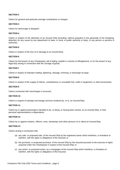# **SECTION 2**

Claims for general and particular average contributions or charges;

## **SECTION 3**

Claims for demurrage or despatch;

## **SECTION 4**

Claims in respect of the detention of an Insured Ship (including, without prejudice to the generality of the foregoing, detention for any cause by any department of state, or local, or public authority or body, or any person or persons in authority);

## **SECTION 5**

Claims in respect of the loss of or damage to an InsuredShip;

## **SECTION 6**

Claims for the breach of any Charterparty, bill of lading, waybill or contract of affreightment, or for the breach of any legal duty arising in connection with the carriage of goods;

## **SECTION 7**

Claims in respect of improper loading, lightering, stowage, trimming, or discharge of cargo;

#### **SECTION 8**

Claims in respect of the supply of inferior, unsatisfactory or unsuitable fuel, outfit or equipment, or othernecessaries;

#### **SECTION 9**

Claims connected with overcharges in accounts;

#### **SECTION 10**

Claims in respect of salvage and towage services rendered by, or to, an InsuredShip;

## **SECTION 11**

Claims by or against passengers intended to be, or being, or having been carried, on an Insured Ship, or their personal representatives or dependants;

#### **SECTION 12**

Claims by or against masters, officers, crew, stowaways and other persons on or about an InsuredShip;

#### **SECTION 13**

Claims arising in connection with:

- (a) any sale, or proposed sale, of the Insured Ship by the registered owner which interferes, or threatens to interfere, with the rights or obligations of the Assured; or
- (b) the purchase, or proposed purchase, of the Insured Ship by the Assured pursuant to the exercise of rights acquired under the Charterparty in respect of the Insured Ship; or
- (c) any action, or proposed action, by a mortgagee of the Insured Ship which interferes, or threatens to interfere, with the rights or obligations of the Assured;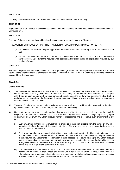# **SECTION 14**

Claims by or against Revenue or Customs Authorities in connection with an InsuredShip;

## **SECTION 15**

Representation of an Assured at official investigations, coroners' inquests, or other enquiries whatsoever in relation to an Insured Ship;

## **SECTION 16**

The cost of obtaining information and legal advice on matters of general concern to Charterers.

IT IS A CONDITION PRECEDENT FOR THE PROVISION OF COVER UNDER THIS SECTION 16 THAT:

- (a) the Assured has received the prior approval of the Underwriters before seeking such information or advice; and
- (b) the amount recoverable by an Assured under this section shall not exceed such sum as the Underwriters have expressly agreed with the Assured when seeking and obtaining their prior approval as required by sub section (a) above;

## **SECTION 17**

All Claims, disputes, matters, legal, arbitration or other proceedings (other than those specified in sections 1 – 16 of this clause) as the Underwriters shall decide fall within the scope of the Insurance, other than any risks which are specifically excluded from the Insurance.

## **CLAUSE 4**

#### **Claims handling**

- (A) The Insurance has been provided and Premium calculated on the basis that Underwriters shall be entitled to control the conduct of any Claim, dispute, matter or proceedings in the name of the Assured to such stage or extent, and in such manner and on such terms and conditions as the Underwriters decide, including (without prejudice to the generality of the foregoing) the right to defend, litigate, arbitrate, mediate, settle, abandon or in any other way dispose of a Claim.
- (B) The right of Underwriters as set out in sub clause (A) above shall apply notwithstanding any previous decision by the Underwriters to support the Claim, dispute, matter or proceeding.
- (C) Underwriters may at any time appoint and employ on behalf of the Assured upon such terms as they think fit, lawyers or other persons both within and outside the United Kingdom with a view to investigating, advising upon, or otherwise dealing with any Claim, dispute, matter or proceedings and discontinue such employment at any time.
	- (i) Such lawyers and other persons must (without prejudice to their right to retire from the matter on any other grounds) retire from the matter if they consider that a conflict of interest has arisen or may arise between the Assured and the Underwriters.
	- (ii) Such lawyers and other persons shall at all times give advice and report to the Underwriters in connection with the matter without prior reference to the Assured and produce to the Underwriters without prior reference to the Assured any Documents or information in their possession or power relating to any Claim, dispute, matter or proceeding, in the same manner as if they had been appointed to act and had at all times been acting on behalf of the Underwriters and whether or not any such Documents or information would otherwise be the subject of legal or any other form of privilege.
	- (iii) The Underwriters may at any time rely upon such advice, reports, documentation or information in order to discontinue, or refuse, further support and any failure to rely on such advice, reports, documentation or information within a reasonable time after receipt of the same, or at all, shall in no circumstances prejudice, or affect, Underwriters rights, or be treated as any waiver of those rights.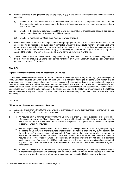- (D) Without prejudice to the generality of paragraphs (A) to (C) of this clause, the Underwriters shall be entitled to consider:
	- (i) whether an Assured has shown that he has reasonable grounds for taking steps to assert, or dispute, any Claim, dispute, matter or proceedings, or for taking, defending or being a party to or being represented at any proceedings;
	- (ii) whether in the particular circumstances of the Claim, dispute, matter or proceedings it appears appropriate to the Underwriters that the Assured should be supported;
	- (iii) whether to reimburse any Claim to an Assured in whole or in part.
- (E) Where Underwriters exercise their rights under sub-paragraphs (A) to (D) above and decide that it is not appropriate for an Assured to be supported in connection with any Claim, dispute, matter or proceedings having regard to the probable legal cost and expense likely to be incurred in such proceedings as compared with the amount in dispute, then the Underwriters may (in abandoning or otherwise dealing with the Claim) pay to the Assured the whole or any part of the Assured's Claim, as the Underwriters may think fit.
- (F) The Underwriters shall be entitled to withhold payment of any Claim until such time as all outstanding sums due from the Assured are fully paid and to exercise their right of set-off in accordance with clause 21(H) against Claims payments in respect of sums due.

## **Right of the Underwriters to recover costs from an Assured**

Underwriters shall be entitled to recover from an Assured as a first charge against any award or judgment in respect of costs, an amount equal to any amounts paid by them under this Insurance relating to the same Claim, matter, dispute or proceedings. In circumstances where the Assured resolves a Claim, matter, dispute or proceedings by way of a commercial settlement, then where the settlement payment specifically refers to a cost element, Underwriters' rights shall be as stated above. Where the settlement payment does not specifically refer to a cost element, Underwriters will be entitled to recover from the settlement amount the same percentage as the settlement amount bears to the full Claim amount in respect of any amounts paid by them under this Insurance relating to the same Claim, matter, dispute or proceedings.

## **CLAUSE 6**

## **Obligations of the Assured in respect of Claims**

- (A) An Assured must promptly notify the Underwriters of every casualty, Claim, dispute, matter or event which is liable to give rise to a Claim by him under the Insurance.
- (B) (i) An Assured must at all times promptly notify the Underwriters of any Documents, reports, evidence or other information relevant to any Claim, dispute, matter or event which has led or which is liable to lead to a Claim by the Assured under the Insurance, and which are in the possession or power of the Assured or his agents or otherwise within his knowledge.
	- (ii) When so requested by the Underwriters, an Assured shall promptly produce, or cause his agents promptly to produce to the Underwriters and/or allow the Underwriters or their agents (including any lawyer appointed by the Underwriters) to inspect, copy, or photograph all Documents of whatsoever nature which are or may be relevant to the Assured's Claim or intended Claim. The Underwriters shall further have the right to direct the Assured to preserve evidence (whether documentary or physical, including but not limited to samples, machinery or parts of equipment) until Underwriters determine that such preservation is no longer required. Any associated cost or expense shall be for the account of the Assured save where Underwriters agree to cover the same.
	- (iii) An Assured shall permit the Underwriters or its agents (including any lawyer appointed by the Underwriters) to interview any servant or agent or other person who may have been working for the Assured at the material time or at any time thereafter or whom the Underwriters may consider likely to have any direct or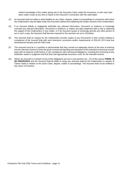indirect knowledge of the matter giving rise to the Assured's Claim under the Insurance, or who may have been under a duty at any time to report to the Assured in connection with the said matter.

- (C) An Assured shall not settle or admit liability for any Claim, dispute, matter or proceedings in connection with which the Underwriters may be liable under this Insurance without first obtaining the written consent of the Underwriters.
- (D) If an Assured wilfully or negligently withholds any relevant information, Document or evidence or knowingly conceals any relevant information, Document or evidence, or makes any false statement with a view to obtaining the support of the Underwriters in any matter, or if an Assured causes or knowingly permits any other person to act in such a way, the Assured shall become exposed to the sanction set out in (G) below.
- (E) The Assured shall on request by the Underwriters provide copies of any Documents in their control relating to compliance of the Insured Ship with such directions, provisions and/or requirements of SOLAS 1974 (and any amendments thereto) and the ISM Code.
- (F) The Assured must be in a position to demonstrate that they carried out adequate checks at the time of entering into the relevant contract to show the good commercial standing and reputation of the intended contractual counter party with no adverse credit history or non-compliance with contractual obligations, including the honouring of any arbitration award or judgment and that they had appropriate insurance cover for the intended venture.
- (G) Where an Assured is in breach of any of the obligations set out in sub-sections (A) (F) of this clause **THERE IS NO INSURANCE** and the Assured shall be liable to repay any amounts paid by the Underwriters in respect of Claims made in relation to the same Claim, dispute, matter or proceedings. The Assured shall not be entitled to any return of Premium.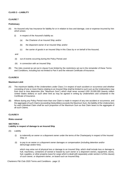# **CLASS 2 – LIABILITY**

## **CLAUSE 7**

## **Preliminary**

- (A) An Assured only has Insurance for liability for or in relation to loss and damage, cost or expense incurred by him which arises:
	- (i) in respect of the Assured's liability as:
		- (a) the Charterer of an Insured Ship; and/or
		- (b) the disponent owner of an Insured Ship; and/or
		- (c) the carrier of goods in an Insured Ship in this Class by or on behalf of the Assured,

and

- (ii) out of events occurring during the Policy Period; and
- (iii) in connection with an Insured Ship.
- (B) The risks covered as set out in clause 9 are limited by the restrictions set out in the remainder of these Terms and Conditions, including but not limited to Part II and the relevant Certificate of Insurance.

## **CLAUSE 8**

#### **Maximum Limit**

- (A) The maximum liability of the Underwriters under Class 2 in respect of each accident or occurrence and whether consisting of one or more Claims relating to an Insured Ship shall be limited to such sum as the Underwriters may from time to time determine (the "Maximum Sum") which shall never exceed USD 20,000,000 (twenty million United States dollars) or such other limit as may be agreed in writing by Underwriters and contained in the Certificate of Insurance.
- (B) Where during any Policy Period more than one Claim is made in respect of any one accident or occurrence, and the aggregate of such Claims (exceeding Deductibles) exceeds the Maximum Sum, the liability of the Underwriters for each individual Claim shall be such proportion of the Maximum Sum as that Claim bears to the aggregate of all such Claims.

#### **CLAUSE 9**

#### **Risks covered**

# **SECTION 1 Liability in respect of damage to an Insured Ship**

- (A) Liability
	- (i) to indemnify an owner or a disponent owner under the terms of the Charterparty in respect of the Insured Ship; or
	- (ii) to pay to an owner or a disponent owner damages or compensation (including detention and/or demurrage and/or hire);

which may arise out of physical loss or damage to an Insured Ship, which shall include loss or damage to hull, machinery, containers (if owned or leased by such owner or a disponent owner), equipment, stores, fuel, supplies, or other property (save for cargo which is dealt with separately under section 4 of this clause) of such owner, or disponent owner, on board such an Insured Ship.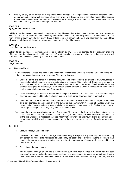(B) Liability to pay to an owner or a disponent owner damages or compensation, excluding detention and/or demurrage and/or hire, which may arise where such owner or a disponent owner has taken reasonable measures to determine whether there has been such physical loss or damage to an Insured Ship, but where it is found that in fact no such physical loss or damage has occurred.

## **SECTION 2**

#### **Injury, illness and loss of life**

Liability to pay damages or compensation for personal injury, illness or death of any person (other than persons engaged by the Assured under a contract of employment) and hospital, medical or funeral expenses incurred in relation to such injury, illness or death (save for any injury, illness or loss of life to a person on board a ship other than the Insured Ship following a collision which is dealt with separately under section 5 of this clause).

## **SECTION 3 Loss of or damage to property**

Liability to pay damages or compensation for or in relation to any loss of or damage to any property (including infringement of rights in connection with that property) whether on land or water and whether fixed or moveable which is not within the possession, custody or control of the Assured.

## **SECTION 4 Cargo liabilities**

(A) Sources of liability

Insurance for the liabilities and costs to the extent that such liabilities and costs relate to cargo intended to be, or being, or having been carried in an Insured Ship and which arise:

- (i) under the terms of a contract of carriage contained in or evidenced by a bill of lading, or waybill, issued in respect of goods shipped, or to be shipped on board an Insured Ship, or of a sub-Charterparty pursuant to which the Assured is obliged to pay damages or compensation to the owner of such goods and/or any shipper, consignee, or endorsee, or other person entitled to make a Claim in respect of the goods under such a contract of carriage or sub-Charterparty; or
- (ii) in relation to cargo carried by an Insured Ship in respect of which the Assured is liable to an owner of cargo, or other person entitled to make a Claim in respect of such cargo, otherwise than in contract; or
- (iii) under the terms of a Charterparty of an Insured Ship pursuant to which the Assured is obliged to indemnify, or to pay damages or compensation to the owner or disponent owner in respect of liabilities which that owner or disponent owner has incurred (and discharged) under or pursuant to a bill of lading and/or contract of carriage relating to the carriage of goods on an Insured Ship; or
- (iv) under the terms of any sub-Charterparty of an Insured Ship between the Assured (as disponent owner) and a sub-Charterer pursuant to which the Assured is obliged to indemnify, or pay damages or compensation to the sub-Charterer in respect of liabilities which that sub-Charterer has incurred (and discharged) under or pursuant to a bill of lading and/or contract of carriage relating to the carriage of goods on an Insured Ship.
- (B) Risks
	- (i) Loss, shortage, damage or delay

Liability for or in relation to loss, shortage, damage or delay arising out of any breach by the Assured, or by any person for whose acts, neglect or default he may be legally liable, of his obligations properly to load, handle, stow, carry, keep, care for, discharge or deliver the cargo or out of unseaworthiness or unfitness of the Insured Ship.

(ii) Disposing of damaged cargo

The additional costs (over and above those which would have been incurred if the cargo had not been damaged) for, or in relation to, necessarily discharging or disposing of damaged cargo, but only if and to the extent that the Assured has no recourse to recover such additional costs from any other party and the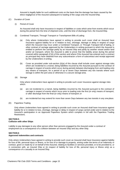Assured is legally liable for such additional costs on the basis that the damage has been caused by the direct negligence of the Assured subsequent to loading of the cargo onto the Insured Ship.

#### (C) Duration of Cover

(i) Period of Cover

An Assured shall only have Insurance in respect of liabilities or costs which arise from events which occur during the period from the time of shipment onto, until the time of discharge from, the InsuredShip.

- (ii) Combined Transport, Through Transport or Transhipment Bills of Lading
	- (a) Only where Underwriters have agreed in writing to provide such cover shall an Assured have Insurance against liability for or in relation to loss, shortage, damage or delay in respect of cargo which the Assured may incur under a Combined Transport, or Through Transport bill of lading, or other contract of carriage approved by the Underwriters in writing pursuant to which the Assured is entitled to perform the carriage partly by an Insured Ship and partly by another vessel and/or land and/or air transport, where the Assured is able to prove that the liability arose during the period covered within paragraph (C)(i) of this section and where if the Assured has entered such a contract as principal they have obtained from any subcontractor a form of subcontract and receipt approved by the Underwriters in writing.
	- (b) Cover as provided under sub-section (ii)(a) of this clause shall include cover against storage risks which are incidental to a transit, being liabilities incurred by the Assured pursuant to the contract of carriage in respect of events which occur during periods between discharging from and loading onto any means of transport, for a period of up to seven Days between any two transits where such storage is within the port area or otherwise in a secure storage area.
- (iii) Storage

Only where Underwriters have agreed in writing to provide such cover Insurance against storage risks which:

- (a) are not incidental to a transit, being liabilities incurred by the Assured pursuant to the contract of carriage in respect of events which occur prior to loading onto the first (or only) means of transport, or after discharge from the final (or only) means of transport; or
- (b) are incidental but may extend for more than seven Days between any two transits in any one place.
- (D) Paperless Trading

Only where Underwriters have agreed in writing to provide such cover an Assured shall have Insurance against liability for or in relation to loss, shortage, damage or delay in respect of cargo carried under and in relation to the Assured's participation in an Approved Paperless System which complies in full with the Paperless Trading Restrictions.

## **SECTION 5 Collision with other Ships**

Liability to pay damages to any other person other than persons engaged by the Assured under a contract of employment as a consequence of a collision between an Insured Ship and any other Ship.

## **SECTION 6 Approved indemnities and contracts**

Only where Underwriters have agreed in writing to provide such cover an Assured shall have Insurance against liability for loss of life, personal injury or illness, or for loss of or damage to property, arising under the terms of an indemnity or contract, given or made by or on behalf of the Assured, relating to facilities or services provided, or to be provided to, or in connection with, an Insured Ship or (in respect of liability for loss of life, personal injury or illness only) as a consequence of a casualty to an Insured Ship.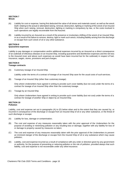## **SECTION 7 Wreck**

- (A) Liability for cost or expense, having first deducted the value of all stores and materials saved, as well as the wreck itself, relating to the actual or attempted raising, removal, destruction, lighting or marking of the wreck of an Insured Ship when such raising, removal, destruction, lighting or marking is compulsory by law, or the costs involved in such operations are legally recoverable from the Assured.
- (B) Liability incurred by an Assured as a result of the presence or involuntary shifting of the wreck of an Insured Ship, or as a result of his failure to remove, destroy, light or mark such wreck, including liability arising from the discharge or escape from such wreck of oil or any other substance.

## **SECTION 8 Quarantine expenses**

Liability to pay damages or compensation and/or additional expenses incurred by an Assured as a direct consequence of an outbreak of infectious disease on an Insured Ship, including quarantine and disinfection expenses and the net loss to the Assured (over and above such expenses as would have been incurred but for the outbreak) in respect of fuel, insurance, wages, stores, provisions and port charges.

## **SECTION 9 Towage contracts**

(A) Customary towage of an Insured Ship

Liability under the terms of a contract of towage of an Insured Ship save for the usual costs of such services.

(B) Towage of an Insured Ship (other than customary towage)

Only where Underwriters have agreed in writing to provide such cover liability (but not cost) under the terms of a contract for towage of an Insured Ship other than the customary towage.

(C) Towage by an Insured Ship

Only where Underwriters have agreed in writing to provide such cover liability (but not cost) under the terms of a contract for towage of another Ship or object by an Insured Ship.

## **SECTION 10 Pollution**

Liability, cost and expense set out in paragraphs (A) to (D) below when and to the extent that they are caused by, or incurred in consequence of the discharge or escape from an Insured Ship of oil or any other substance, or the threat of such discharge or escape:

- (A) Liability for loss, damage or contamination;
- (B) The cost and expense of any measures reasonably taken with the prior approval of the Underwriters for the purpose of avoiding or minimising pollution or any resulting loss or damage, together with any liability for loss of or damage to property caused by measures so taken;
- (C) The cost and expense of any measures reasonably taken with the prior approval of the Underwriters to prevent an imminent danger of the discharge or escape from the Insured Ship of oil or any substance which may cause pollution;
- (D) Liability, cost and expense incurred as a result of compliance with any order or direction given by any government or authority, for the purpose of preventing or reducing pollution or the risk of pollution, provided always that such liability, cost and expense is not recoverable under any otherinsurance.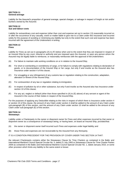## **SECTION 11 General average**

Liability for the Assured's proportion of general average, special charges, or salvage in respect of freight at risk and/or bunkers owned by the Assured.

## **SECTION 12 Sue and labour costs**

Liability for extraordinary cost and expense (other than cost and expense set out in section 13) reasonably incurred on or after the occurrence of any casualty, event or matter liable to give rise to a Claim under this Insurance and incurred solely for the purpose of avoiding or minimising any liability but only to the extent that such cost and expense has been incurred with the agreement of the Underwriters in writing.

## **SECTION 13 Fines**

Liability for Fines as set out in paragraphs (A) to (F) below when and to the extent that they are imposed in respect of an Insured Ship by any court, tribunal or authority and are imposed upon the Assured, or upon any person whom the Assured may be legally liable to reimburse, or reasonably reimburses with the approval of theUnderwriters:

- (A) For failure to maintain safe working conditions on or in relation to the Insured Ship;
- (B) For short or overlanding or overdelivery of cargo, or for failure to comply with regulations relating to declaration of goods, or to documentation of the Insured Ship or her cargo, but only if and insofar as the Assured also has Insurance under section 4 of this clause;
- (C) For smuggling or any infringement of any customs law or regulation relating to the construction, adaptation, alteration or fitment of the Insured Ship;
- (D) For contravention of any law or regulation relating to immigration;
- (E) In respect of pollution by oil or other substance, but only if and insofar as the Assured also has Insurance under section 10 of this clause;
- (F) For any act, neglect or default (other than those specified in (A) to (E) above) of any servant or agent of the Assured in the course of their duties in respect of the Insured Ship.

For the purposes of applying any Deductible relating to the risks in respect of which there is Insurance under section 4 or section 10 of this clause, the amount of any Claim under section 4 shall be added to the amount of any Claim under sub-paragraph (B) of this section, and the amount of any Claim under section 10 shall be added to the amount of any Claim under sub-paragraph (E) of this section.

## **SECTION 14 Stowaways**

Liability under a Charterparty to the owner or disponent owner for Fines and other expenses incurred by that owner or disponent owner as a consequence of stowaways being, or having been, on board an Insured Ship, provided that:

- (A) the owner or disponent owner itself incurred such Fines and expenses under legal liability; and
- (B) those Fines and expenses are not recoverable by the Assured from any third party.

IT IS A CONDITION PRECEDENT FOR THE PROVISION OF COVER UNDER THIS SECTION 14 THAT:

the relevant Charterparty contains either the Stowaways Clause for Time Charters as contained in the Baltic and International Maritime Council Special Circular No. 5, dated 21 July 1993 or Stowaways Clause for Time Charter Parties 2009 as contained in the Baltic and International Maritime Council Special Circular No. 1, dated January 2010, or some other provision which limits any liability to the same extent or lesser.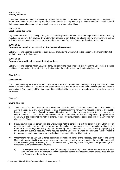# **SECTION 15 Enquiry expenses**

Cost and expense approved in advance by Underwriters incurred by an Assured in defending himself, or in protecting his interests, before a formal enquiry into the loss of, or into a casualty involving, an Insured Ship but only to the extent that such enquiry relates to a risk for which Insurance is provided in this Class.

## **SECTION 16 Legal cost and expense**

Legal cost and expense (including surveyors' costs and expenses and other costs and expenses associated with any investigation) approved in advance by Underwriters relating to any liability or alleged liability or expenditure against which the Assured has Insurance or, by reason of the Maximum Sum or a Deductible, has Insurance in part.

#### **SECTION 17 Expenses incidental to the chartering of Ships (Omnibus Clause)**

Liability, cost and expense incidental to the business of chartering Ships which in the opinion of the Underwriters fall within the scope of the Insurance.

# **SECTION 18**

# **Expenses incurred by direction of the Underwriters**

Liability, cost and expense which an Assured may be required to incur by special direction of the Underwriters incases in which the Underwriters decide that it is in the interest of the Underwriters that the direction begiven.

# **CLAUSE 10**

## **Special cover**

The Underwriters may issue a Certificate of Insurance on terms which cover an Assured against any special or additional risks not set out in clause 9. The nature and extent of the risks and the terms of the cover, including but not limited to any Maximum Sum, additional Premium and/or Deductible shall be as agreed in writing between the Underwriters and the Assured.

## **CLAUSE 11**

## **Claims handling**

- (A) The Insurance has been provided and the Premium calculated on the basis that Underwriters shall be entitled to control the conduct of any Claim, or legal, or other proceedings in the name of the Assured relating to any liability, loss or damage in respect of which the Assured has Insurance in whole or in part to such stage or extent and in such manner and on such terms and conditions as the Underwriters decide, including (without prejudice to the generality of the foregoing) the right to defend, litigate, arbitrate, mediate, settle, abandon or in any other way dispose of a Claim.
- (B) If the Assured does not comply with the Underwriters' right to control or direct the conduct of any Claim or legal or other proceedings as set out in paragraph (A) of this clause or does not settle, compromise or dispose of a Claim or of proceedings after being required to do so by the Underwriters in accordance with paragraph (A) of this clause, any eventual recovery by the Assured from the Underwriters under the Insurance shall be limited to the amount he would have recovered if he had acted as required by the Underwriters.
- (C) Underwriters may at any and all times appoint and employ on behalf of the Assured, upon such terms as the Underwriters may think fit, lawyers, surveyors and other persons both within and outside the United Kingdom with a view to investigating or advising upon or otherwise dealing with any Claim or legal or other proceedings and discontinue such employment at any time.
	- (i) Such lawyers and other persons must (without prejudice to their right to retire from the matter on any other grounds) retire from the matter if they consider that a conflict of interest has arisen or may arise between the Assured and the Underwriters.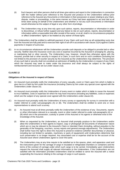- (ii) Such lawyers and other persons shall at all times give advice and report to the Underwriters in connection with the matter without prior reference to the Assured and produce to the Underwriters without prior reference to the Assured any Documents or information in their possession or power relating to any Claim, dispute, matter or proceedings, in the same manner as if they had been appointed to act and had at all times been acting on behalf of the Underwriters and whether or not any such Documents or information would otherwise be the subject of legal or any other form of privilege.
- (iii) The Underwriters may at any time rely upon such advice, reports, documentation or information in order to discontinue, or refuse further support and any failure to rely on such advice, reports, documentation or information within a reasonable time after receipt of the same, or at all, shall in no circumstances prejudice or affect Underwriters' rights or be treated as any waiver of those rights.
- (D) The Underwriters shall be entitled to withhold payment of any Claim until such time as all outstanding sums due from the Assured are fully paid and to exercise their right of set-off in accordance with clause 21(H) against Claims payments in respect of sums due.
- (E) In no circumstances whatsoever will the Underwriters provide cash deposits or be obliged to provide bail or other security. Neither does the Insurance cover any cost or expense incurred by the Assured in arranging for, placing, or maintaining bail or other security. The Underwriters may, however, should they otherwise agree with the Assured, provide bail or other security in respect of a Claim, in such form and on such conditions (including but not limited to the provision of counter security by the Assured) as the Underwriters may determine. The provision of any such bail or security shall not constitute an admission of liability by the Underwriters in respect of any Claim which the Assured may seek to make under the Insurance and shall always be subject to the rights of reimbursement and recourse set out under clause 21(l).

## **Obligations of the Assured in respect of Claims**

- (A) An Assured must promptly notify the Underwriters of every casualty, event or Claim upon him which is liable to give rise to a Claim by him under the Insurance (including Claims by him under any special cover agreed with the Underwriters under clause 10).
- (B) An Assured must promptly notify the Underwriters of every event or matter which is liable to cause the Assured to incur liabilities, costs or expenses for which he may have Insurance (including any liabilities, costs or expenses which are the subject of any special cover agreed with the Underwriters under clause 10).
- (C) An Assured must promptly notify the Underwriters of every survey or opportunity for survey in connection with a matter referred to under sub-paragraphs (A) or (B). The Underwriters shall be entitled to send one or more representatives to attend such a survey.
- (D) (i) An Assured must at all times promptly notify the Underwriters of the existence of any Documents, reports or other information relevant to a casualty, event or other matter referred to under sub-paragraphs (A) or (B) which are in the possession, custody or power of the Assured or his agents or otherwise exist to the knowledge of the Assured.
	- (ii) When so requested by the Underwriters, an Assured shall promptly produce to the Underwriters and/or allow the Underwriters or their agents to inspect, copy or photograph all Documents of whatsoever nature which are or may be relevant to the Assured's Claim or intended Claim (including, without prejudice to the generality of the foregoing, vouchers, survey reports and general average adjustments). The Underwriters shall further have the right to direct the Assured to preserve evidence (whether documentary or physical, including but not limited to samples, machinery or parts of equipment) until Underwriters determine that such preservation is no longer required. Any associated cost or expense shall be for the account of the Assured save where Underwriters agree to cover the same.
	- (iii) The Underwriters may at any time require to be satisfied as to the spaces, plant, and apparatus used and the instructions given for the carriage of cargo in insulated or refrigerated chambers or containers and the terms of the contract of carriage under which such cargo is to be carried. Immediately upon Underwriters request the Assured shall supply all relevant information to the Underwriters. If the Underwriters are not satisfied with the information provided Underwriters shall be entitled to serve the Assured with a notice suspending the Insurance relating to the carriage of cargo in such spaces.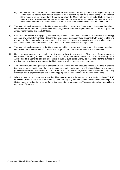- (iv) An Assured shall permit the Underwriters or their agents (including any lawyer appointed by the Underwriters) to interview any servant or agent or other person who may have been working for the Assured at the material time or at any time thereafter or whom the Underwriters may consider likely to have any direct or indirect knowledge of the matter giving rise to the Assured's Claim under the Insurance, or who may have been under a duty at any time to report to the Assured in connection with the said matter.
- (E) The Assured shall on request by the Underwriters provide copies of any Documents in their control relating to compliance of the Insured Ship with such directions, provisions and/or requirements of SOLAS 1974 (and any amendments thereto) and the ISM Code.
- (F) If an Assured wilfully or negligently withholds any relevant information, Document or evidence or knowingly conceals any relevant information, Document or evidence or makes any false statement with a view to obtaining the support of the Underwriters in any matter, or if an Assured causes or knowingly permits any other person to act in such a way, the Assured shall become exposed to the sanction set out in (J) below.
- (G) The Assured shall on request by the Underwriters provide copies of any Documents in their control relating to compliance of the Insured Ship with any directions, provisions or other requirements of this Insurance.
- (H) Upon the occurrence of any casualty, event or matter liable to give rise to a Claim by an Assured upon the Underwriters (including a Claim under any special cover granted under clause 10), it shall be the duty of the Assured and his agents to take and to continue to take all such steps as may be reasonable for the purpose of averting or minimising any expense or liability in respect of which he may have Insurance.
- (I) The Assured must be in a position to demonstrate that they carried out adequate checks at the time of entering into the relevant contract to show the good commercial standing and reputation of the intended contractual counter party with no adverse credit history or non-compliance with contractual obligations, including the honouring of any arbitration award or judgment and that they had appropriate insurance cover for the intended venture.
- (J) Where an Assured is in breach of any of the obligations set out in sub-paragraphs (A) (I) of this clause **THERE IS NO INSURANCE** and the Assured shall be liable to repay any amounts paid by the Underwriters in respect of Claims made in relation to the same Claim, dispute, matter or proceedings. The Assured shall not be entitled to any return of Premium.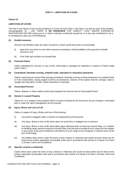# **PART II – LIMITATION OF COVER**

## **Clause 13**

## **LIMITATION OF COVER**

This Part II and clause 13 set out the limitations on Cover for both Class 1 and Class 2 so that for each of the headed sub-paragraphs (1) – (32) THERE IS **NO INSURANCE** FOR LIABILITY, COST AND/OR EXPENSE OF WHATSOEVER NATURE arising out of, or which is directly or indirectly caused by, or in any way contributed to, by or in consequence upon any of the following:

## **(1) Double Insurance**

Amounts recoverable under any other insurance or which would have been so recoverable:

- (i) apart from any terms in such other insurance excluding or limiting liability on the grounds of double insurance; and
- (ii) if the Ship had not been an Insured Ship.

## **(2) Financial Claims**

Claims regarding the recovery or loss of hire, demurrage or damages for detention in respect of Claims made under Class 1.

## **(3) Contraband, blockade running, unlawful trade, imprudent or hazardous operations**

Claims concerning an Insured Ship carrying contraband, blockade running or being employed in an unlawful trade or if the Underwriters, having regard to all the circumstances, shall be of the opinion that the carriage, trade or voyage was imprudent, unsafe, unduly hazardous or improper.

#### **(4) Associated Persons**

Claims, disputes or other matters which arise between the Assured and an Associated Person.

## **(5) Owned or Leased Property**

Claims for, or in respect of any property which is owned or leased by the Assured or by any company associated with or under the same management as the Assured.

## **(6) Injury, Illness and Loss of Life**

Claims in respect of injury, illness and loss of life involving:

- (i) Any person engaged under a contract of employment by the Assured;
- (ii) Any injury, illness or loss of life which does not result from a negligent act or omission;
- (iii) Any injury, illness or loss of life which takes place otherwise than on board an Insured Ship, or in relation to handling cargo carried on board an Insured Ship, from the time of receipt of such cargo from the shipper or pre-carrier at the port of shipment until delivery of such cargo to the consignee or onward carrier at the port of discharge;
- (iv) Any liability which arises under the terms of any contract or indemnity and would not have arisen but for those terms (unless separately recoverable under and in accordance with section 6 of clause 9 of Class 2 of these Terms and Conditions).

## **(7) Specific contract or indemnity**

Claims which arise under the terms of any contract or indemnity and would not have arisen but for those terms (unless separately recoverable under and in accordance with section 6 of clause 9 of Class 2 of these Terms and Conditions).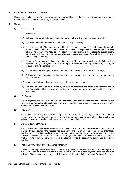## **(8) Combined and Through Transport**

Claims in respect of loss and/or damage suffered or legal liability incurred other than between the time of receipt for shipment and completion of delivery at final destination.

## **(9) Cargo**

(i) Bills of Lading

Claims concerning:

- (a) Delivery of cargo without production of the relevant bill of lading or other document of title;
- (b) The issue of an ante-dated or post-dated bill of lading or waybill;
- (c) The issue of a bill of lading or waybill which does not correctly state and truly reflect the quantity and/or condition and/or description of the cargo at the time of shipment in the Insured Ship and which bill of lading or waybill the Assured or his agent knew was incorrect in those respects, but only insofar as the said liabilities, costs or expenses arise as a direct consequence of the failure to issue correct bills of lading or waybills;
- (d) Either the failure to arrive or late arrival of the Insured Ship at a port of loading, or the failure to load a particular cargo or cargoes in an Insured Ship, or the failure to carry a particular cargo or cargoes to the nominated discharge port;
- (e) Discharge of cargo at a port or place other than that stipulated in the contract of carriage;
- (f) Delivery of cargo to a party other than that named in the waybill, or delivery other than that required by such waybill;
- (g) Necessary discharge of cargo due to its pre-shipment state or condition;
- (h) The issue of a bill of lading or waybill by the Assured other than one which is on either the owners own form and identifies the owners as carriers, or some other general form and identifies the owners as carriers.
- (ii) On-Carriage

Claims regarding the on-carrying of cargo to a contractual port or destination from any intermediate port where the cargo may have been off-loaded from an Insured Ship, or in respect of storage charges or other charges at any such intermediate port.

(iii) Deviation

Claims in respect of any deviation, including the unauthorised carriage of cargo on deck, or if as a result of such deviation the Assured is not entitled to rely on any defences or rights of limitation which would otherwise have been available to him to reduce or eliminate his liability.

(iv) Standard Terms of Carriage

Claims concerning any liabilities which would not have been incurred or sums which would not have been payable by the Assured if the Assured had been entitled to rely on all defences and rights of limitation provided for in the Hague-Visby Rules; provided that where the Hamburg Rules are compulsorily applicable, by operation of law, to a contract of carriage under which the Assured incurs liability, then in that case (and in that case only), the Hamburg Rules will provide the basis of the limitation under this subprovision.

(v) Inter-Club New York Produce Exchange Agreement

Claims concerning any liabilities under a Charterparty based on the New York Produce Exchange Form which would not have been incurred or sums which would not have been payable by the Assured if the relevant Charterparty had incorporated the terms of the Inter-Club New York Produce Exchange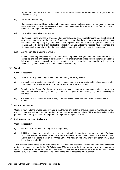Agreement 1996 or the Inter-Club New York Produce Exchange Agreement 1996 (as amended September 2011).

(vi) Rare and Valuable Cargo

Claims concerning any Claim relating to the carriage of specie, bullion, precious or rare metals or stones, plate, jewellery, or any other objects of a rare or precious nature, bank notes, or other form of currency, bonds or other negotiable instruments.

(vii) Perishable cargo in insulated spaces

Claims concerning any loss of or damage to perishable cargo stored in reefer containers or refrigerated, or insulated spaces where the carriage of such cargo began after the Assured was served with a notice by Underwriters requesting any information concerning such reefer containers or refrigerated, or insulated spaces and/or the terms of any applicable contract of carriage, unless the Assured have responded and Underwriters have confirmed that they are satisfied that their enquiry has been fully addressed.

(viii) Ad Valorem Bills of Lading or Waybills

Claims concerning any payments of amounts exceeding USD 2,500 (two thousand five hundred United States dollars) per unit, piece or package in respect of shipment of goods carried under an ad valorem bill of lading or waybill in which the value per unit, piece or package has been stated to be in excess of USD 2,500 (two thousand five hundred United States dollars).

## **(10) Wreck**

Claims in respect of:

- (i) The Insured Ship becoming a wreck other than during the Policy Period;
- (ii) Any such liability, cost or expense which arises subsequent to any termination of this Insurance save for a termination under clause 22 (B) of Part III of these Terms and Conditions;
- (iii) Transfer of the Assured's interest in the wreck otherwise than by abandonment, prior to the raising, removal, destruction, lighting or marking of the wreck, or prior to the incident giving rise to the liability for the wreck;
- (iv) Any such liability, cost or expense arising more than seven years after the Insured Ship became a wreck.

#### **(11) Contractual towage**

Claims in relation to the towage costs involved in the Insured Ship entering or leaving port, or manoeuvring within the port during the ordinary course of trading, or cost or expense incurred where Ships are habitually towed or pushed in the ordinary course of trading from port to port or from place toplace.

#### **(12) Pollution and carriage of oil cargo**

Claims in respect of:

- (i) the Assured's ownership of or rights in a cargo of oil;
- (ii) liabilities, costs or expenses which arise in respect of bulk oil cargo tanker voyages within the Exclusive Economic Zone of the United States of America as defined in the United States Oil Pollution Act 1990 arising out of incidents to which the United States Oil Pollution Act 1990 and/or any other similar state legislation is applicable.

Any Certificate of Insurance issued pursuant to these Terms and Conditions shall not be deemed to be evidence of financial responsibility under the Oil Pollution Act 1990 or any similar federal or state laws and may not be shown or tendered to the United States Coast Guard or any federal or state agency as evidence of financial responsibility or evidence of insurance. The Underwriters do not consent to be a guarantor.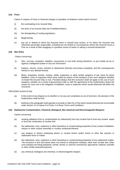## **(13) Fines**

Claims in respect of Fines or financial charges or penalties of whatever nature which concern:

- (i) the overloading of an Insured Ship;
- (ii) the entry of an Insured Ship into Prohibited Waters;
- (iii) the disregarding of routing regulations;
- (iv) illegal fishing;
- (v) any act or default of which the Assured knew or should have known, or for which the Assured was otherwise personally responsible, including but not limited to circumstances where the Assured incurs a Fine as a result of their engaging in a positive course of action or taking a commercial decision.

#### **(14) War Risks**

Claims concerning:

- (i) War, civil war, revolution, rebellion, insurrection or civil strife arising therefrom, or any hostile act by or against a belligerent power or any act of terrorism;
- (ii) Capture, seizure, arrest, restraint or detainment (barratry and piracy excepted), and the consequences thereof or any attempt thereat;
- (iii) Mines, torpedoes, bombs, rockets, shells, explosives or other similar weapons of war (save for those liabilities, costs or expenses which arise solely by reason of the transport of any such weapons whether on board the Insured Ship or not). Provided always that this exclusion shall not apply to the use of such weapons, whether as a result of government order or with the agreement of the Underwriters where the reason for such use is the mitigation of liabilities, costs or expenses which would otherwise fall within the Insurance.

#### PROVIDED ALWAYS that:

- (a) In the event of any dispute as to whether or not any act constitutes an act of terrorism, the decision of the Underwriters shall be final.
- (b) Nothing in this paragraph shall operate to exclude a Claim for a Fine which would otherwise be recoverable under section 13 of clause 9 of Class 2 of these Terms and Conditions.

#### **(15) Radioactive Contamination, Chemical, Biological, Bio-chemical and ElectromagneticWeapons**

Claims concerning:

- (a) ionising radiations from or contamination by radioactivity from any nuclear fuel or from any nuclear waste or from the combustion of nuclear fuel;
- (b) the radioactive, toxic, explosive or other hazardous or contaminating properties of any nuclear installation, reactor or other nuclear assembly or nuclear component thereof;
- (c) any weapon or device employing atomic or nuclear fission and/or fusion or other like reaction or radioactive force or matter;
- (d) the radioactive, toxic, explosive or other hazardous or contaminating properties of any radioactive matter. The exclusion in this sub-clause does not extend to radioactive isotopes, other than nuclear fuel, when such isotopes are being prepared, carried, stored, or used for commercial, agricultural, medical, scientific or other similar peaceful purposes;
- (e) any chemical, biological, bio-chemical, or electromagnetic weapon.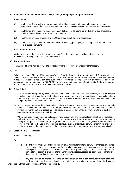#### **(16) Liabilities, costs and expenses of salvage ships, drilling ships, dredgers and others**

Claims where:

- (i) an Insured Ship which is a salvage tug or other Ship is used or intended to be used for salvage operations, or when the Claim arises as a result of any salvage service or attempted salvage service;
- (ii) an Insured Ship is used for the operations of drilling, core sampling, oil production or gas production, and the Claim arises as a result of those operations;
- (iii) an Insured Ship is a dredger, and the Claim arises out of dredging operations;
- (iv) an Insured Ship is used for the operations of pile driving, pipe laying or blasting, and the Claim arises out of those operations.

## **(17) Classification of Ship**

Claims which arise during a period when an Insured Ship does not have a valid entry in class with a Classification Society approved by the Underwriters.

## **(18) Rights of Recourse**

The Assured having waived or failed to protect any rights of recourse against any other person.

#### **(19) ISM**

Where the Insured Ship, and "the company" (as defined by Chapter IX of the International Convention for the Safety of Life at Sea (as amended), ("SOLAS 1974") and, as defined in the International Safety Management Code, ("ISM Code") is not at any time during the Policy Period in compliance with all necessary directions, provisions and/or requirements of SOLAS 1974 (and any amendments thereto) and the ISM Code which pertain to the Insured Ship and which are in force during the Policy Period.

## **(20) Cyber Attack**

- (a) Subject only to paragraph (c) below, in no case shall this insurance cover loss, damage, liability or expense directly or indirectly caused by or contributed to by or arising from the use or operation, as a means for inflicting harm, of any computer, computer system, computer software programme, malicious code, computer virus, computer process or any other electronic system.
- (b) Subject to the conditions, limitations and exclusions of the policy to which this clause attaches, the indemnity otherwise recoverable hereunder shall not be prejudiced by the use or operation of any computer, computer system, computer software programme, computer process or any other electronic system, if such use or operation is not as a means for inflicting harm.
- (c) Where this clause is endorsed on policies covering risks of war, civil war, revolution, rebellion, insurrection, or civil strife arising therefrom, or any hostile act by or against a belligerent power, or terrorism or any person acting from a political motive, paragraph (a) shall not operate to exclude losses (which would otherwise be covered) arising from the use of any computer, computer system or computer software programme or any other electronic system in the launch and/or guidance system and/or firing mechanism of any weapon or missile.

#### **(21) Electronic Date Recognition**

Claims concerning:

(a)

- (i) the failure or anticipated failure or inability of any computer system, software, hardware, integrated circuit, microchip, operating system and/or any other electronic device or component, whether or not belonging to or in possession of the Assured or of any third party, correctly, unambiguously or completely to assign, exchange, interpret, manipulate, process, recognise, sequence or transfer any time, year, date or date-like code, data or information;
- (ii) any implemented or attempted change or modification or test of any computer system, software, hardware, integrated circuit, microchip, operating system and/or any other electronic device or

Charterers P&I Club 2020 Terms and Conditions - page 25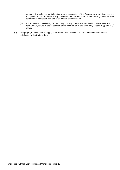component, whether or not belonging to or in possession of the Assured or of any third party, in anticipation of or in response to any change of year, date or time, or any advice given or services performed in connection with any such change or modification;

- (iii) any non-use or unavailability for use of any property or equipment of any kind whatsoever resulting from any act, failure to act or decision of the Assured or of any third party related to (i) and/or (ii) above.
- (b) Paragraph (a) above shall not apply to exclude a Claim which the Assured can demonstrate to the satisfaction of the Underwriters: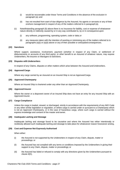- (i) would be recoverable under these Terms and Conditions in the absence of the exclusion in paragraph (a); and
- (ii) has not resulted from want of due diligence by the Assured, his agents or servants or any of their onshore management in respect of any of the matters referred to in paragraph (a).
- (c) Notwithstanding paragraph (b) above there is no Insurance for liability, cost or expense of whatsoever nature directly or indirectly caused by or in any way contributed to, by or in consequence upon:
	- (i) any software, programming, operating system, code or data; or
	- (ii) any measures taken with the intention of averting or minimising any of the matters referred to in paragraphs (a)(i) or (a)(ii) above or any of their possible or anticipated consequences.

# **(22) Sanctions**

Where support, assistance, involvement, payment (whether in respect of any Claim, or settlement of disbursements or accounts of any third party), or other benefit to an Assured of whatever nature, may expose Underwriters, Re-insurers or Managers to Sanctions.

#### **(23) Disputes with Underwriters**

In respect of any Claims, disputes or other matters which arise between the Assured and Underwriters.

#### **(24) Approved Cargo**

Where any cargo carried by an Assured on an Insured Ship is not an Approved Cargo.

#### **(25) Approved Charterparty**

Where an Insured Ship is chartered under any other than an Approved Charterparty.

#### **(26) Approved Insurer**

Where the owner or a disponent owner of an Insured Ship does not have an entry for any Insured Ship with an Approved Insurer.

#### **(27) Cargo Compliance**

Unless the cargo is loaded, stowed, or discharged, strictly in accordance with the requirements of any IMO Code or any other similar legislation or regulation, or where cargo is carried under or pursuant to a Charterparty which is not an Approved Charterparty, or in the case of hazardous cargo, where such cargo is carried without the express knowledge and consent of the master and owner.

#### **(28) Inadequate Lashing and Stowage**

Inadequate lashing and stowage found to be causative and where the Assured has either intentionally or recklessly allowed such inadequate lashing and stowage to take place for whatsoever reason howsoever arising.

#### **(29) Cost and Expense Not Expressly Authorised**

When either:

- (i) the Assured is not supported by the Underwriters in respect of any Claim, dispute, matter or proceedings; or
- (ii) the Assured has not complied with any terms or conditions imposed by the Underwriters in giving their support to any Claim, dispute, matter or proceedings; or
- (iii) the Assured has failed or refused to comply with any directions given by the Underwriters pursuant to clause 4(D),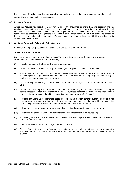this sub clause (29) shall operate notwithstanding that Underwriters may have previously supported any such or similar Claim, dispute, matter or proceedings.

#### **(30) Repeated Breach**

Where the Assured has breached a requirement under this Insurance on more than one occasion and has previously been put on notice of such breach of such requirement by Underwriters. In addition, in such circumstances the Underwriters will be entitled to give the Assured written notice that should the same requirement be breached subsequent to the service of such written notice, they will be entitled to cancel the Insurance with immediate effect and retain all Premium paid. In addition, Underwriters will still be entitled to claim and recover any sums due.

#### **(31) Cost and Expense in Relation to Bail or Security**

In relation to the placing, obtaining or maintaining of any bail or other form of security.

#### **(32) Miscellaneous Exclusions**

(Save so far as is expressly covered under these Terms and Conditions or by the terms of any special agreement with Underwriters), any of the following:

- (i) loss of or damage to the Insured Ship or any part thereof;
- (ii) the cost of repairs to the Insured Ship or any charges or expenses in connection therewith;
- (iii) loss of freight or hire or any proportion thereof, unless as part of a Claim recoverable from the Assured for loss in respect of cargo and subject to the Underwriters and Assured reaching an agreement in writing on such terms as the Underwriters may require;
- (iv) Claims relating to demurrage on, or detention of, or hire earned on, or off hire not earned on, an Insured Ship;
- (v) the cost of forwarding or return to port of embarkation of passengers, or of maintenance of passengers ashore consequent upon a casualty to the Insured Ship, unless insurance for such cost has been specially agreed between the Assured and the Underwriters pursuant to section 6 of clause 9;
- (vi) loss of or damage to any equipment on board the Insured Ship or to any containers, lashings, stores or fuel or other property whatsoever thereon, to the extent that the same are owned or leased by the Assured or by any company associated with or under the same management as the Assured;
- (vii) salvage or services in the nature of salvage and any cost and expense in connection therewith;
- (viii) loss arising out of cancellation of a Charterparty or other engagement of an InsuredShip;
- (ix) loss arising out of irrecoverable debts or out of the insolvency of any person including insolvency of owners, sub-charterers or agents;
- (x) indemnity Claims in respect of salvage or general average;
- (xi) Claims of any nature where the Assured has intentionally made a false or untrue statement in support of any Claim, including but not limited to the background, factual nexus, circumstances, evidence or amount claimed.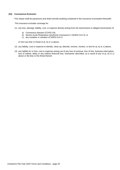## **(33) Coronavirus Exclusion**

This clause shall be paramount and shall override anything contained in this insurance inconsistent therewith.

This insurance excludes coverage for:

- (1) any loss, damage, liability, cost, or expense directly arising from the transmission or alleged transmission of:
	- a) Coronavirus disease (COVID-19);
	- b) Severe Acute Respiratory Syndrome Coronavirus 2 (SARS-CoV-2); or
	- c) any mutation or variation of SARS-CoV-2;

or from any fear or threat of a), b) or c) above;

- (2) any liability, cost or expense to identify, clean up, detoxify, remove, monitor, or test for a), b) or c) above;
- (3) any liability for or loss, cost or expense arising out of any loss of revenue, loss of hire, business interruption, loss of market, delay or any indirect financial loss, howsoever described, as a result of any of a), b) or c) above or the fear or the threat thereof.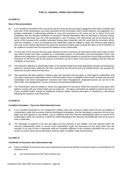# **PART III - GENERAL TERMS AND CONDITIONS**

## **CLAUSE 14**

## **Duty of fair presentation**

- (A) It is a condition precedent of this Insurance that the Assured and any party engaged by them have complied with their duty of fair presentation and have disclosed all the information which would influence the judgement of a prudent underwriter in determining whether to issue this Insurance on the terms set out in these Terms and Conditions and the relevant Certificate of Insurance. Should information later be disclosed or become known which shows that there was not a fair presentation, even if innocent, the Underwriter will not be bound by the terms of this Insurance the condition precedent having been breached, with the result that the Insurance will be void from inception. In such circumstances the Underwriter shall be entitled to retain any Premium paid against the costs of any Claims paid and to the extent the amount of Claims paid exceeds the value of such Premium, to be entitled to recover from the Assured the balance of any Claims paid.
- (B) It is the duty of the Assured and any party retained by them to disclose all information which they ought to know and which would have been revealed by a reasonable search of information and documentation which may influence the judgement of a prudent underwriter in determining whether to accept the Insured Ship and place the Insurance on the terms and for the amount of Premium set out in these Terms and Conditions and the relevant Certificate of Insurance.
- (C) The Assured's attention is specifically drawn to the queries raised during the application process concerning any special or unusual facts relating to the risks covered by the Insurance and any material factors, the purpose for which the Assured seeks the Insurance.
- (D) The Insurance has been placed in reliance upon the Assured's and any party or other agent's confirmation that they have conducted a reasonable search of all information which is available to them which includes the personal knowledge of all senior management, insurance and Claim management, designated person (as set out in the ISM Code), risk management, survey, technical and operations departments.
- (E) The Underwriters shall be entitled to refuse any application for Insurance where the Assured or any party have failed to comply with any of their duties set out under  $(A) - (D)$  above and further be entitled to restrict the level of Cover provided and/or charge an additional Premium where relevant information is disclosed or discovered following the issuance of the Insurance.

## **CLAUSE 15**

#### **Condition Precedent – Pay to be Paid Indemnity Cover**

- (i) It is a condition precedent to the Underwriters liability under this Insurance, failing which all and any liability of Underwriters under this Insurance shall be discharged immediately, that the discharge or payment of all and any legal cost and expense or any liability, cost or expense which the Assured subsequently seeks to recover from Underwriters under the Insurance is paid from funds belonging to the Assured unconditionally and not by way of loan or otherwise.
- (ii) The discharge or payment of all and any legal cost and expense or any liability, cost and expense which the Assured subsequently seeks to recover from Underwriters under the Insurance by any party other than the Assured, or by way of loan or otherwise shall not constitute fulfilment of the condition precedent set out in subsection (i) of this clause and Underwriters shall be under no liability under this Insurance.

## **CLAUSE 16**

#### **Certificate of Insurance and endorsement slip**

- (A) Every Certificate of Insurance and every endorsement slip issued shall be conclusive evidence and binding for all purposes as to:
	- (i) the commencement of the Policy Period; and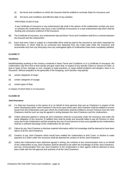- (ii) the terms and conditions on which the Assured shall be entitled to nominate Ships for Insurance; and
- (iii) the terms and conditions and effective date of any variation.

#### PROVIDED ALWAYS that:

If any Certificate of Insurance or any endorsement slip shall in the opinion of the Underwriters contain any error or omission the Underwriters may issue a new Certificate of Insurance or a new endorsement slip which shall be binding and conclusive evidence of the Insurance.

- (B) The Certificate of Insurance, any endorsement slip and these Terms and Conditions shall form a contract between the Assured and the Underwriters.
- (C) Each and every Claim is subject to a Deductible which shall be paid by the Assured as and when requested by Underwriters, or which shall be an uninsured loss deducted from any Claim paid under the Insurance and recoverable only from any third party once any subrogated rights of Underwriters have been completely satisfied.

# **CLAUSE 17**

#### **Variations**

Notwithstanding anything to the contrary contained in these Terms and Conditions or in a Certificate of Insurance, the Underwriters may from time to time decide and give notice that, in respect of any specific Claims or classes of Claim, or type or types of loss, damage or cost, changes to trade practices, or cargo related problems and dangers, there is no Insurance. Without prejudice to the generality of the foregoing, such decision may specify:

- (a) certain categories of cargo;
- (b) certain categories of voyage;
- (c) certain types of Ship,

in respect of which there is no Insurance.

## **CLAUSE 18**

#### **Joint Insurance**

- (A) If a Ship has Insurance in the names of or on behalf of more persons than one as Charterers in respect of the same Charterparty (both "Joint Charterers") the terms upon which each Joint Charterer shall be entitled to recover losses from the Underwriters and upon which the Underwriters shall be entitled to recover Premium from the Joint Charterers shall be such as may be agreed in writing between the Joint Charterers and the Underwriters.
- (B) Unless otherwise agreed in writing all Joint Charterers shall be co-assureds under the Insurance and under the same obligation of any Assured. In addition they shall be jointly and severally liable to pay all Premium or other sums due to the Underwriters and the receipt by any one of such persons of any sums payable by the Underwriters shall be a sufficient discharge of the Underwriters for the same.
- (C) Failure by any Joint Charterer to disclose material information within his knowledge shall be deemed to have been failure of all the Joint Charterers.
- (D) Conduct of any Joint Charterer which would have entitled the Underwriters to limit Cover, or decline to make payment of a Claim under this Insurance shall be deemed the conduct of all the Joint Charterers.
- (E) Unless the Underwriters have otherwise agreed in writing, the contents of any communication from or on behalf of the Underwriters to any Joint Charterer shall be deemed to be within the knowledge of all the Joint Charterers, and any communication from any Joint Charterer to the Underwriters or their agents shall be deemed to have been made with the full approval and authority of all the Joint Charterers.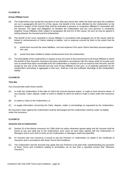#### **Group Affiliate Cover**

- (A) The Underwriters may accept the Insurance of any Ship upon terms that, within the limits and upon the conditions set out in paragraphs (B) and (C) of this clause, the benefit of the Cover afforded by the Underwriters to the Assured in respect of the Insured Ship shall be extended to persons or companies affiliated or associated with the Assured. The rights and obligations as between the Underwriters and any such persons or companies (together Group Affiliates) shall, subject to paragraphs (B) and (C) of this clause, be such as may be agreed in writing between the Assured and the Underwriters.
- (B) The benefit of the cover extended to Group Affiliates in accordance with paragraph (A) of this clause shall be limited to reimbursement of Claims relating to liability, cost or expense incurred by them to the extent that the Assured:
	- (i) would have incurred the same liabilities, cost and expense if the same Claims had been pursued against him; and
	- (ii) would have been entitled to obtain reimbursement from the Underwriters.
- (C) The total liability of the Underwriters in respect of any one event to the Assured and to all Group Affiliates to whom the benefit of that Assured's Insurance has been extended in accordance with this clause shall not exceed such sum as would have been recoverable from the Underwriters in respect of such an event by that Assured, and the receipt by any one of the Assured and any such Group Affiliates of that sum, or of separate payments by the Underwriters amounting in aggregate to that sum, shall be a full and sufficient discharge of the Underwriters' liability.

## **CLAUSE 20**

#### **Time Bar**

If an Assured fails within three months:

- (A) to notify the Underwriters of the date on which the Assured became aware, or ought to have become aware, of any casualty, Claim, dispute, matter or event in relation to which he seeks to make a Claim under this Insurance; or
- (B) to submit a Claim to the Underwriters; or
- (C) to supply information concerning the Claim, dispute, matter or proceedings as requested by the Underwriters,

the Assured's Claim against the Underwriters shall be discharged and the Underwriters shall be under no liability under this Insurance.

## **CLAUSE 21**

#### **Amounts due to Underwriters**

- (A) Section 53 of the Marine Insurance Act 1906 shall not unless otherwise agreed apply and the Assured shall be bound to pay and shall pay to the Underwriters such sums as have been agreed with the Underwriters or Managers and at such time or times as the Underwriters or Managers shall have specified.
- (B) An Assured who has Insurance is bound to pay the Premium to Underwriters as stated in the Certificate of Insurance and in accordance with these Terms and Conditions.
- (C) The Underwriters and the Assured may agree that any Premium to be paid shall, notwithstanding any provision of these Terms and Conditions relating to termination, be no less than a specified amount (the "Minimum Premium").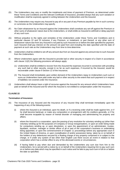- (D) The Underwriters may vary or modify the instalments and times of payment of Premium, as determined under these Terms and Conditions and the relevant Certificate of Insurance, provided always that any such variation or modification shall be expressly agreed in writing between the Underwriters and the Assured.
- (E) The Underwriters may require any Assured to pay all or any part of any Premium payable by him in such currency or currencies as the Underwriters may specify.
- (F) No Claim whatsoever by an Assured against the Underwriters shall constitute any set-off against the Premium or other sums of whatsoever nature due to the Underwriters, or shall entitle an Assured to withhold or delay payment of any such sum.
- (G) Without prejudice to the rights and remedies of the Underwriters under these Terms and Conditions and in particular clauses 22 and 23 inclusive, if any Premium, or instalment, or part thereof, or any other sum of whatsoever nature due from any Assured is not paid by such Assured on or before the date specified for payment, such Assured shall pay interest on the amount not paid from and including the date specified until the date of payment at such rate as the Underwriters may from time to time determine.
- (H) Underwriters shall be entitled to set-off any amount due from an Assured against any amount due to such Assured from the Underwriters.
- (I) Where Underwriters agree with the Assured to provide bail or other security in respect of a Claim in accordance with clause 11(E) the following provisions will always apply:
	- (1) Underwriters shall be entitled to recover from the Assured the expenses incurred in connection with providing any such bail or other security, except in so far as such expenses, if incurred by the Assured, would be recoverable under clause 9 Section 12 of the Insurance;
	- (2) The Assured shall immediately upon written demand of the Underwriters repay to Underwriters such sum or sums as Underwriters have paid under any bail or other security to the extent that such payment is in respect of liabilities not covered under the Insurance.
- (J) Underwriters shall always have a right of recourse against the Assured for any amount which Underwriters have paid on behalf of the Assured and for which the Assured is not entitled to compensation under the Insurance.

#### **Termination of Insurance**

- (A) The Insurance of any Assured and the Insurance of any Insured Ship shall terminate immediately upon the happening of any of the following events:
	- (i) where the Assured is an individual, upon his death, or if a receiving order shall be made against him, or if he shall become bankrupt, or make any composition or arrangement with his creditors generally, or if he shall become incapable by reason of mental disorder of managing and administering his property and affairs;
	- (ii) where the Assured is a corporation, upon the passing of any resolution for voluntary winding up (other than voluntary winding up for the purposes of Company or Group reorganisation), or upon an order being made for compulsory winding up, or upon dissolution, or upon the appointment of an administrator, trustee, liquidator, receiver, manager or similar officer of all or part of the corporation's business or undertaking being appointed, or upon the commencement of Chapter 11 proceedings before any appropriate court in the United States of America, or upon crystallisation of and/or possession being taken by or on behalf of the holders of any debentures secured by a floating charge of any property comprised in or subject to the charge, or if under any system of law other than English Law there occurs an event in relation to that corporation which has a similar effect to any of the aforesaid events or circumstances;
	- (iii) if having failed to pay when due and demanded by the Underwriters any sum due from him to the Underwriters, he is served with a notice by or on behalf of the Underwriters requiring him to pay such sum on or before any date which may be specified in such notice and he fails to pay such sum in full on or before the date so specified;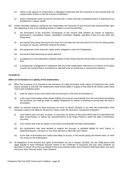- (iv) where in the opinion of Underwriters or Managers continuing with the Insurance of any Insured Ship will expose either of them or the Re-insurers to Sanctions;
- (v) where Underwriters have served the Assured with a notice warning of repeated breach of requirement as provided for in clause 13(30).
- (B) Unless otherwise agreed in writing by the Underwriters the Insurance of any Insured Ship shall terminate upon the happening of any of the following events in relation to such Insured Ship:
	- (i) the termination of the Assured's Charterparty of the Insured Ship whether by reason of redelivery, performance, cancellation, breach, repudiation, frustration, illegality, operation of law or in any other way whatsoever;
	- (ii) the Insured Ship being missing for ten Days from the date she was last heard of or from her being posted at Lloyd's as missing, whichever shall be the earlier;
	- (iii) the assignment of the Assured's rights and/or obligations under the Charterparty;
	- (iv) the Insured Ship becoming an actual total loss;
	- (v) acceptance by Hull underwriters (whether Marine or War Risks) that the Insured Ship is a constructive total loss;
	- (vi) a compromise, arrangement or settlement with any of the underwriters referred to in (v) above on the basis of which the Insured Ship is considered or deemed to be an actual loss or constructive total loss.

#### **Effect of Termination on Liability of the Underwriters**

- (A) When the Insurance of an Assured or the Insurance of a Ship terminates under clause 22 (otherwise than under clause 22(A)(iii) or (iv)) then the Underwriters shall remain liable in respect of that Ship for all Claims under these Terms and Conditions which:
	- (i) arise by reason of any event which had occurred prior to the time of termination; or
	- (ii) in the case of termination under clause  $22(B)(i)-(vi)$  inclusive, result directly from the event which terminates the Insurance, but shall be under no liability whatsoever by reason of anything occurring after the time of termination.
- (B) When an Assured ceases to have Insurance by virtue of clause 22(A)(iii) or (iv) then the Underwriters shall thereupon cease to be liable for all and any Claims under the Insurance, irrespective ofwhether:
	- (i) such Claims have accrued, or arisen, or may arise, by reason of any event which had occurred before the date of termination, or before the commencement of the Policy Period in which the date of termination occurred;
	- (ii) such Claims may arise by reason of any event occurring after the date of termination;
	- (iii) the Underwriters may have decided to support the Assured, or admitted liability for such Claims, or appointed lawyers, surveyors or any other persons to deal with such Claims;
	- (iv) at the date of termination the Claims were likely to accrue, or the events giving rise thereto were, or were not, known to the Underwriters.
- (C) All obligations of the Assured and rights of termination set out in clauses 22(A)(iii), (iv) and 23(B) above shall apply equally to each individual Assured named in the Certificate of Insurance and any Joint Charterer as described in clause 18 so that any default of one such Assured and/or Joint Charterer shall have effect over each and every other Assured and/or Joint Charterer.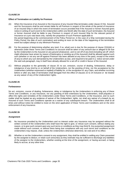#### **Effect of Termination on Liability for Premium**

- (A) When the Insurance of an Assured or the Insurance of any Insured Ship terminates under clause 22 the Assured and his Successors shall be and remain liable for all Premium in respect of the whole of the period of Insurance of an Insured Ship in which the event of termination occurs provided that if the Assured or former Assured gives notice in writing of such event to the Underwriters within one Month after the date of such termination, the Assured or former Assured shall be liable to pay Premium in respect of such Insured Ship for the relevant period of Insurance on a pro rata basis only, namely the proportion of such Premium applicable to the period beginning at the commencement of the Policy Period (or, in the case of a Ship nominated during the Policy Period, the date of such nomination) and ending at noon on the date of the happening of the termination event but subject always to any Minimum Premium.
- (B) For the purpose of determining whether any (and, if so, what) sum is due for the purpose of clause 22(A)(iii) or otherwise under these Terms and Conditions no account shall be taken of any amount due or alleged to be due by the Underwriters to the Assured on any ground whatsoever, and no set-off of any kind (including set-off which might otherwise have arisen by reason of bankruptcy or winding up of the Assured) shall be allowed against such sum (whether or not any set-off against Premium has been allowed at any time in the past), except to the extent (if any) to which any sum demanded by the Underwriters as due, and required to be paid in a notice served under the said sub-paragraph, may in itself have already allowed for a set-off or credit in favour of the Assured.
- (C) Without prejudice to the generality of clause 25 no act, omission, course of dealing, forbearance, delay or indulgence of any kind by or on behalf of the Underwriters, nor the granting of time, nor the acceptance by the Underwriters (whether expressed or implied) of liability for, or the recognition of, any Claim, and whether occurring before or after any date of termination shall derogate from the effect of clauses 22 to 24 inclusive or be treated as any waiver of any of the Underwriters' rights.

## **CLAUSE 25**

#### **Forbearance**

No act, omission, course of dealing, forbearance, delay or indulgence by the Underwriters in enforcing any of these Terms and Conditions, or any Insurance, nor any granting of time extensions by the Underwriters, shall prejudice or affect the rights and remedies of the Underwriters under these Terms and Conditions, or the Insurance, and no such matter shall be treated as any evidence of waiver of the Underwriters' rights, nor shall any waiver of a breach by an Assured of such Terms and Conditions operate as a waiver of any subsequent breach. The Underwriters shall at all times and without notice be entitled to insist on the strict application of these Terms and Conditions and on the strict enforcement of any Insurance.

#### **CLAUSE 26**

#### **Assignment**

- (A) No Insurance provided by the Underwriters and no interest under any Insurance may be assigned without the written consent of the Underwriters who shall have the right to give, or refuse such consent, without stating any reason, or to give such consent upon any such terms or conditions as they may think fit. Any purported assignment made without such consent, or without there being due compliance with any such terms and conditions as the Underwriters may impose, shall, unless the Underwriters otherwise determine, be void and of no effect.
- (B) Whether or not the Underwriters consent to any assignment, they shall be entitled in settling any Claim presented by the assignee to deduct, or retain such amount(s) as they estimate may be sufficient to discharge any liabilities of the assignor to the Underwriters, whether existing at the time of the assignment, or having accrued, or being likely to accrue, at any other time.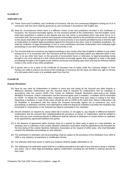## **Applicable Law**

- (A) These Terms and Conditions, any Certificate of Insurance, and any non-contractual obligations arising out of or in connection with the same shall be governed by and construed in accordance with English law.
- (B) Save for circumstances where there is a different choice of law and jurisdiction recorded in the Certificate of Insurance, the Assured irrevocably agrees, for the exclusive benefit of the Underwriters, that the English courts shall have jurisdiction in relation to any dispute and any suit, action or proceeding which may arise out of, or in connection with, the Insurance and for such purposes irrevocably submits to the jurisdiction of such courts. Nothing in this clause shall affect the right of Underwriters to serve process in any manner permitted by law or limit the right of Underwriters to institute legal proceedings against the Assured in any other court of competent jurisdiction, nor shall the institution of legal proceedings in one or more jurisdictions preclude Underwriters from instituting legal proceedings in any other jurisdiction whether concurrently or not.
- (C) The Assured shall not commence any legal proceedings in any country other than England in relation to any matter arising out of, or in connection with, this Insurance and the Assured irrevocably waives any objection which it may now, or at any other time have, on the grounds of inconvenient forum or otherwise, to legal proceedings being brought in any court referred to in this clause and further irrevocably agrees that a judgment or order in any legal proceedings brought in the English courts shall be conclusive and binding upon them and may be enforced without review in the courts of any other jurisdiction.
- (D) A person who is not a party to the Certificate of Insurance has no rights under the Contracts (Rights of Third Parties) Act 1999 to enforce any terms of the Certificate of Insurance but this does not affect any right or remedy of a third party which exists or is available apart from that Act.

## **CLAUSE 28**

## **Dispute Resolution**

- (A) Save for any claim by Underwriters in relation to sums due and owing by the Assured any other dispute or difference between Underwriters and the Assured shall (if required by Underwriters) first be mediated in accordance with the current CEDR (The Centre for Effective Dispute Resolution–www.cedr.co.uk) Model Mediation Procedure. Unless Underwriters and the Assured agree upon a mediator, a mediator will be nominated by CEDR. To initiate the mediation either Underwriters or the Assured must give notice in writing to the other requesting a mediation. A copy of this notice should be sent to CEDR at the same time. Where Underwriters call for mediation in accordance with this clause the Assured irrevocably agrees not to commence any court proceedings or arbitration until they have attempted to settle the dispute by mediation and either the mediation has terminated or Underwriters or the Assured has failed to participate in the mediation.
- (B) Should mediation as required by clause 28(A) fail to resolve, or not apply to, any dispute or difference between Underwriters and the Assured then notwithstanding the provisions of clause 27 Underwriters shall be entitled to direct that any such remaining dispute or difference shall be referred to arbitration in London before an arbitrator to be appointed by agreement between the parties.
- (C) In the absence of agreement within fourteen Days of a request by either party to agree to a sole arbitrator, an arbitrator who is a Member of the London Maritime Arbitrators Association shall be appointed by the President for the time being of the London Maritime Arbitrators Association at the request of either party, who shall thereafter conduct the arbitration proceedings as sole arbitrator.
- (D) The submission to arbitration and all proceedings shall be subject to the provisions of the Arbitration Acts 1950 to 1996 or any statutory re-enactment or modification thereto.
- (E) The arbitrator shall have power to admit any evidence whether legally admissible or not.
- (F) The obtaining of an arbitration award shall be a condition precedent to the right of any Assured to bring or maintain any action, suit or other legal proceedings against Underwriters including but not limited to seeking security for their claim.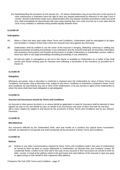(G) Notwithstanding the provisions of sub clauses (A) – (F) above Underwriters may at any time prior to the service of claim submissions in arbitration have the right to have any dispute determined by reference to the High Court in London. Should Underwriters make such a determination then any dispute resolution procedures under way at the time shall immediately be discontinued with each party bearing their own costs incurred up to such date and the costs of any mediator or arbitrator being divided equally between them.

# **CLAUSE 29**

## **Subrogation**

- (A) When a Claim has been paid under these Terms and Conditions, Underwriters shall be subrogated to all rights and remedies in respect of that Claim which the Assured may have against any third party.
- (B) Underwriters shall be entitled to use the name of the Assured in bringing, defending, enforcing or settling any legal proceedings (including proceedings in any arbitration) and the Assured shall give all necessary information and assistance and produce and forward all documents to enable Underwriters to substantiate, pursue, settle or resist any claim or any legal proceedings (including proceedings in any arbitration).
- (C) All and any rights in subrogation as set out in this clause or available to Underwriters as a matter of law shall survive and remain binding upon an Assured even following a termination of the Insurance as provided for in clause 22.

## **CLAUSE 30**

#### **Delegation**

Whenever any power, duty or discretion is conferred or imposed upon the Underwriters by virtue of these Terms and Conditions, such power, duty or discretion may, subject to any terms, conditions or restrictions contained in these Terms and Conditions, be exercised by any one or more of the Underwriters, or by any servant or agent of the Underwriters to whom the same shall have been delegated or sub-delegated.

## **CLAUSE 31**

#### **Assured and Successors bound by Terms and Conditions**

An Assured or other person by whom or on whose behalf an application is made for Insurance shall be deemed to have agreed not only on his own behalf but also on behalf of his Successors and each of them that both he and they will in every respect be subject to and bound by the provisions of these Terms and Conditions and by any relevant Insurance.

## **CLAUSE 32**

#### **Miscellaneous**

Any Insurance effected by the Underwriters shall, save and insofar as it contains any special terms inconsistent herewith, be deemed to incorporate and shall incorporate all the provisions of these Terms and Conditions.

## **CLAUSE 33**

#### **Notices**

(A) Notices or any other communications required by these Terms and Conditions shall in the case of Underwriters be served to them by letter or courier addressed to Underwriters c/o Michael Else and Company Limited, 65 Leadenhall Street, London EC3A 2AD and in the case of any Assured or their Successors be served to them by letter, courier, or email at the address which is the last known and used address of the Assured or upon any party or agent acting on their behalf to their registered office address.

Charterers P&I Club 2020 Terms and Conditions - page 37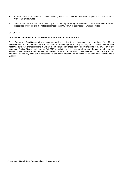- (B) In the case of Joint Charterers and/or Assured, notice need only be served on the person first named in the Certificate of Insurance.
- (C) Service shall be effective in the case of post on the Day following the Day on which the letter was posted or dispatched by courier and if by electronic means the Day on which the message was transmitted.

#### **Terms and Conditions subject to Marine Insurance Act and Insurance Act**

These Terms and Conditions and any Insurance shall be subject to and incorporate the provisions of the Marine Insurance Act 1906 and the Insurance Act 2015 of the United Kingdom and any statutory modifications thereof except insofar as such Act or modifications may have been excluded by these Terms and Conditions or by any term of any Insurance. Section 13A of the Insurance Act 2015 is excluded and accordingly all terms of the contract of insurance between the Underwriters and any Assured shall not be subject to nor shall Underwriters be in breach of any implied term that it will pay any sums due in respect of a Claim within a reasonable time save where the breach is deliberate or reckless.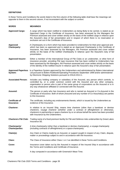# **DEFINITIONS**

In these Terms and Conditions the words listed in the first column of the following table shall bear the meanings set opposite to them in the second column, if not inconsistent with the subject or context:

#### **WORDS MEANINGS**

- **Approved Cargo:** A cargo which has been notified to Underwriters as being likely to be carried, is stated as an Approved Cargo in the Certificate of Insurance, has been assessed by the Managers the Premium assessed and cover written strictly on the basis of the notified cargo in reliance upon the Assured's duty of fair presentation and in respect of which there is no reservation or exclusion set out in the Certificate of Insurance.
- **Approved** A Charterparty on a form which has been provided to Underwriters for their prior approval and **Charterparty:** which has been so approved and is stated as an Approved Charterparty in the Certificate of Insurance, has been assessed by the Managers, the Premium assessed and cover written strictly on the basis of the notified Charterparty in reliance upon the Assured's duty of fair presentation.
- **Approved Insurer:** Either a member of the International Group of P&I Clubs or an underwriter, or other form of insurance provider, providing P&I type insurance that has been notified to Underwriters has been assessed by the Managers, the Premium assessed and cover written strictly on the basis of the identity of the notified insurer in reliance upon the Assured's duty of fair presentation.
- **Approved Paperless** Is a Paperless System approved by the Underwriters and administered by Bolero International **System:** Ltd pursuant to Bolero Rulebook/Operating Procedures September 1999 and/or administered by Electronic Shipping Solutions pursuant to DSUA 2013.1.
- **Associated Person:** Includes any holding company or subsidiary of the Assured, any person which controls, is controlled by, or is under common control with the Assured and any other company, organisation or person who is part of the same group of corporations as the Assured or is in any way whatsoever affiliated or connected with the Assured.
- **Assured:** The person or party who has Insurance and who is named as Assured or Co-Assured in the Certificate of Insurance. Both of whom (Assured and any number of Co-Assured(s)) are parties to this Insurance.
- **Certificate of** The certificate, including any endorsements thereto, which is issued by the Underwriters as **Insurance:** evidence of the Insurance.
- **Charterer:** In relation to an Insured Ship, means time charterer (other than a bareboat or demise charterer), voyage charterer (whether under a contract of affreightment or otherwise), charterers in partnership or space charterer by or on whose behalf the same has been provided with Insurance by the Underwriters.
- **Charterers P&I Club:** Trading name of a fixed premium facility for P&I and Defence risks underwritten by Great Lakes Insurance SE.
- **Charterparty/** A time charterparty (other than a bareboat or demise charterparty), a voyage charterparty **Charterparties:** (including contracts of affreightment) or a space charterparty.
- **Claim(s):** Any Claim or Claims made by an Assured, or support sought in respect of any Claim, dispute, matter or proceedings subject to and in accordance with the Insurance.
- **Class:** The Class of Insurance either Class 1 or 2 as identified in these Terms and Conditions.
- **Cover:** Insurance cover taken out by the Assured in respect of the Insured Ship in accordance with the Terms and Conditions and Certificate of Insurance.
- **Day:** A day computed in accordance with Greenwich Mean Time.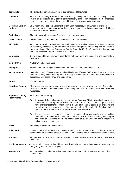| <b>Deductible:</b> | The amount or percentage set out in the Certificate of Insurance. |
|--------------------|-------------------------------------------------------------------|
|--------------------|-------------------------------------------------------------------|

**Document:** Shall mean anything in which information of any description is recorded, including, but not limited to all electronically stored documentation, email, text message, SMS, metadata, computer or other electronically generated information, documentation or records.

**Electronic Bills of** Shall mean any electronic Document, information, message, or data which is intendedto **Lading:** replace or provide, functional equivalence to a paper bill of lading, documents of title, or waybills, as the case may be.

- **Expiry Date:** The date on which an Insured Ship ceases to have Insurance.
- **Fine or Fines:** Includes penalties and other impositions similar in nature to fines.
- **IMO Code:** Any code or shipping requirement relating in any way to loading, stowage, safety for carriage, or discharge, published by the International Maritime Organization including but not limited to the International Maritime Dangerous Goods Code (IMDG Code), and/or the International Maritime Solid Bulk Cargoes Code (IMSBC Code).
- **Insurance:** Cover provided to an Assured in accordance with the Terms and Conditions and Certificate of Insurance.
- **Insured Ship:** A Ship which has Insurance.
- **Managers:** Michael Else and Company Limited of 65 Leadenhall Street, London EC3A2AD.
- **Maximum Sum:** In relation to each Class the sum stipulated in clauses 2(A) and 8(A) respectively or such other amount as may have been agreed in writing between the Assured and Underwriters in accordance with these Terms and Conditions.

**Month:** Calendar month.

**Paperless System:** Shall mean any system, or contractual arrangement, the predominant purpose of which is to replace paper-based documentation in shipping and/or international trade with electronic messages.

**Paperless Trading** Shall mean the following: **Restrictions:**

- (a) the Assured shall only agree to the issue of an Electronic Bill of Lading in circumstances where every Charterparty to which the Assured is a party includes a provision (on materially identical terms) which permits the use of such an Electronic Bill of Lading and provides that the consequences of the use of such an Electronic Bill of Lading shall be identical to the position had a paper document been issued; and
- (b) the Assured shall not agree to assume any additional, or increased risks, or liabilities pursuant to, or in connection with, the issue of an Electronic Bill of Lading including but not limited to liability incurred being greater than it would have been had a paper bill of lading or waybill been used.
- **Policy:** The policy provided for the Insurance.
- **Policy Period:** Unless otherwise agreed the period running from 00:00 GMT on the date of the commencement of the Insurance to 00:00 GMT on the same date in the following calendar year.
- **Premium:** Any premium or other sum or sums payable to the Underwriters pursuant to the provisions of the Insurance.
- **Prohibited Waters:** Any waters which entry into is prohibited, restricted or limited by any international convention or treaty or by any Statutory Obligation.
- **Re-insurers:** Any organisation who provides re-insurance facilities of whatsoever nature to the Underwriters.